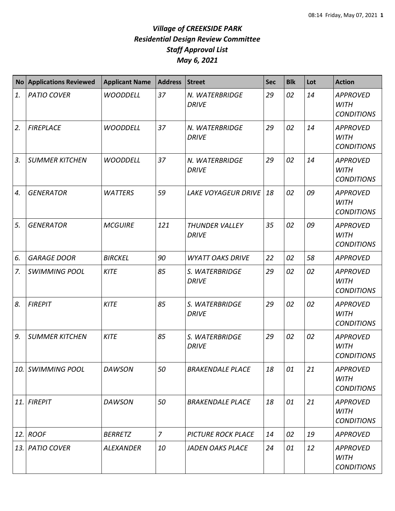| <b>No</b> | <b>Applications Reviewed</b> | <b>Applicant Name</b> | <b>Address</b> | <b>Street</b>                         | <b>Sec</b> | <b>Blk</b> | Lot | <b>Action</b>                                       |
|-----------|------------------------------|-----------------------|----------------|---------------------------------------|------------|------------|-----|-----------------------------------------------------|
| 1.        | <b>PATIO COVER</b>           | <b>WOODDELL</b>       | 37             | N. WATERBRIDGE<br><b>DRIVE</b>        | 29         | 02         | 14  | <b>APPROVED</b><br><b>WITH</b><br><b>CONDITIONS</b> |
| 2.        | <b>FIREPLACE</b>             | <b>WOODDELL</b>       | 37             | N. WATERBRIDGE<br><b>DRIVE</b>        | 29         | 02         | 14  | <b>APPROVED</b><br><b>WITH</b><br><b>CONDITIONS</b> |
| 3.        | <b>SUMMER KITCHEN</b>        | <b>WOODDELL</b>       | 37             | N. WATERBRIDGE<br><b>DRIVE</b>        | 29         | 02         | 14  | <b>APPROVED</b><br><b>WITH</b><br><b>CONDITIONS</b> |
| 4.        | <b>GENERATOR</b>             | <b>WATTERS</b>        | 59             | <b>LAKE VOYAGEUR DRIVE</b>            | 18         | 02         | 09  | <b>APPROVED</b><br><b>WITH</b><br><b>CONDITIONS</b> |
| 5.        | <b>GENERATOR</b>             | <b>MCGUIRE</b>        | 121            | <b>THUNDER VALLEY</b><br><b>DRIVE</b> | 35         | 02         | 09  | <b>APPROVED</b><br><b>WITH</b><br><b>CONDITIONS</b> |
| 6.        | <b>GARAGE DOOR</b>           | <b>BIRCKEL</b>        | 90             | <b>WYATT OAKS DRIVE</b>               | 22         | 02         | 58  | <b>APPROVED</b>                                     |
| 7.        | <b>SWIMMING POOL</b>         | <b>KITE</b>           | 85             | S. WATERBRIDGE<br><b>DRIVE</b>        | 29         | 02         | 02  | <b>APPROVED</b><br><b>WITH</b><br><b>CONDITIONS</b> |
| 8.        | <b>FIREPIT</b>               | <b>KITE</b>           | 85             | S. WATERBRIDGE<br><b>DRIVE</b>        | 29         | 02         | 02  | <b>APPROVED</b><br><b>WITH</b><br><b>CONDITIONS</b> |
| 9.        | <b>SUMMER KITCHEN</b>        | <b>KITE</b>           | 85             | S. WATERBRIDGE<br><b>DRIVE</b>        | 29         | 02         | 02  | <b>APPROVED</b><br><b>WITH</b><br><b>CONDITIONS</b> |
| 10.       | <b>SWIMMING POOL</b>         | <b>DAWSON</b>         | 50             | <b>BRAKENDALE PLACE</b>               | 18         | 01         | 21  | <b>APPROVED</b><br><b>WITH</b><br><b>CONDITIONS</b> |
| 11.       | <b>FIREPIT</b>               | <b>DAWSON</b>         | 50             | <b>BRAKENDALE PLACE</b>               | 18         | 01         | 21  | <b>APPROVED</b><br><b>WITH</b><br><b>CONDITIONS</b> |
| 12.       | <b>ROOF</b>                  | <b>BERRETZ</b>        | $\overline{7}$ | <b>PICTURE ROCK PLACE</b>             | 14         | 02         | 19  | <b>APPROVED</b>                                     |
| 13.       | <b>PATIO COVER</b>           | <b>ALEXANDER</b>      | 10             | <b>JADEN OAKS PLACE</b>               | 24         | 01         | 12  | <b>APPROVED</b><br><b>WITH</b><br><b>CONDITIONS</b> |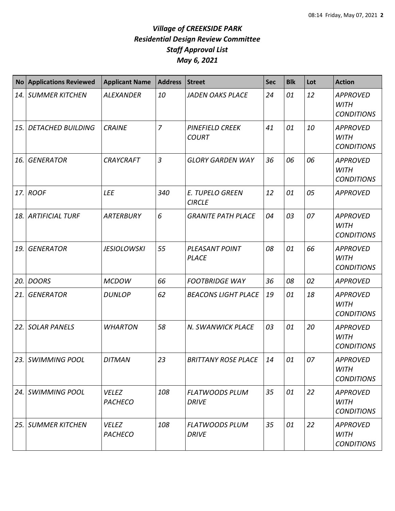| <b>No</b> | <b>Applications Reviewed</b> | <b>Applicant Name</b>          | <b>Address</b> | <b>Street</b>                           | <b>Sec</b> | <b>Blk</b> | Lot | <b>Action</b>                                       |
|-----------|------------------------------|--------------------------------|----------------|-----------------------------------------|------------|------------|-----|-----------------------------------------------------|
|           | <b>14. SUMMER KITCHEN</b>    | <b>ALEXANDER</b>               | 10             | <b>JADEN OAKS PLACE</b>                 | 24         | 01         | 12  | <b>APPROVED</b><br><b>WITH</b><br><b>CONDITIONS</b> |
| 15.       | <b>DETACHED BUILDING</b>     | <b>CRAINE</b>                  | $\overline{7}$ | <b>PINEFIELD CREEK</b><br><b>COURT</b>  | 41         | 01         | 10  | <b>APPROVED</b><br><b>WITH</b><br><b>CONDITIONS</b> |
| 16.       | <b>GENERATOR</b>             | <b>CRAYCRAFT</b>               | $\overline{3}$ | <b>GLORY GARDEN WAY</b>                 | 36         | 06         | 06  | <b>APPROVED</b><br><b>WITH</b><br><b>CONDITIONS</b> |
|           | 17. ROOF                     | <b>LEE</b>                     | 340            | <b>E. TUPELO GREEN</b><br><b>CIRCLE</b> | 12         | 01         | 05  | <b>APPROVED</b>                                     |
|           | <b>18. ARTIFICIAL TURF</b>   | <b>ARTERBURY</b>               | 6              | <b>GRANITE PATH PLACE</b>               | 04         | 03         | 07  | <b>APPROVED</b><br><b>WITH</b><br><b>CONDITIONS</b> |
| 19.       | <b>GENERATOR</b>             | <b>JESIOLOWSKI</b>             | 55             | PLEASANT POINT<br><b>PLACE</b>          | 08         | 01         | 66  | <b>APPROVED</b><br><b>WITH</b><br><b>CONDITIONS</b> |
| 20.       | <b>DOORS</b>                 | <b>MCDOW</b>                   | 66             | <b>FOOTBRIDGE WAY</b>                   | 36         | 08         | 02  | <b>APPROVED</b>                                     |
| 21.       | <b>GENERATOR</b>             | <b>DUNLOP</b>                  | 62             | <b>BEACONS LIGHT PLACE</b>              | 19         | 01         | 18  | <b>APPROVED</b><br><b>WITH</b><br><b>CONDITIONS</b> |
| 22.       | <b>SOLAR PANELS</b>          | <b>WHARTON</b>                 | 58             | N. SWANWICK PLACE                       | 03         | 01         | 20  | <b>APPROVED</b><br><b>WITH</b><br><b>CONDITIONS</b> |
|           | 23. SWIMMING POOL            | <b>DITMAN</b>                  | 23             | <b>BRITTANY ROSE PLACE</b>              | 14         | 01         | 07  | <b>APPROVED</b><br><b>WITH</b><br><b>CONDITIONS</b> |
|           | 24. SWIMMING POOL            | <b>VELEZ</b><br><b>PACHECO</b> | 108            | <b>FLATWOODS PLUM</b><br><b>DRIVE</b>   | 35         | 01         | 22  | <b>APPROVED</b><br><b>WITH</b><br><b>CONDITIONS</b> |
|           | 25. SUMMER KITCHEN           | <b>VELEZ</b><br><b>PACHECO</b> | 108            | <b>FLATWOODS PLUM</b><br><b>DRIVE</b>   | 35         | 01         | 22  | <b>APPROVED</b><br><b>WITH</b><br><b>CONDITIONS</b> |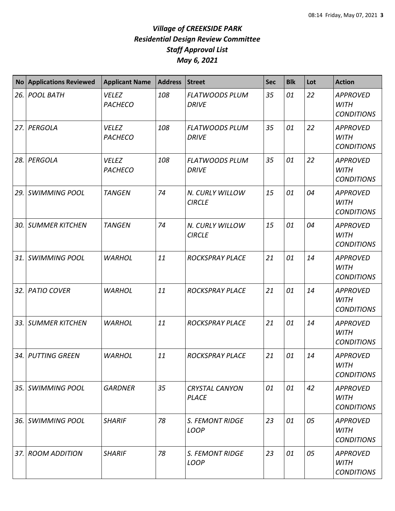|      | No Applications Reviewed | <b>Applicant Name</b>          | <b>Address</b> | Street                                | <b>Sec</b> | <b>Blk</b> | Lot | <b>Action</b>                                       |
|------|--------------------------|--------------------------------|----------------|---------------------------------------|------------|------------|-----|-----------------------------------------------------|
|      | 26. POOL BATH            | <b>VELEZ</b><br><b>PACHECO</b> | 108            | <b>FLATWOODS PLUM</b><br><b>DRIVE</b> | 35         | 01         | 22  | <b>APPROVED</b><br><b>WITH</b><br><b>CONDITIONS</b> |
|      | 27. PERGOLA              | <b>VELEZ</b><br><b>PACHECO</b> | 108            | <b>FLATWOODS PLUM</b><br><b>DRIVE</b> | 35         | 01         | 22  | <b>APPROVED</b><br><b>WITH</b><br><b>CONDITIONS</b> |
| 28.1 | PERGOLA                  | <b>VELEZ</b><br><b>PACHECO</b> | 108            | <b>FLATWOODS PLUM</b><br><b>DRIVE</b> | 35         | 01         | 22  | <b>APPROVED</b><br><b>WITH</b><br><b>CONDITIONS</b> |
| 29.  | <b>SWIMMING POOL</b>     | <b>TANGEN</b>                  | 74             | N. CURLY WILLOW<br><b>CIRCLE</b>      | 15         | 01         | 04  | <b>APPROVED</b><br><b>WITH</b><br><b>CONDITIONS</b> |
| 30.  | <b>SUMMER KITCHEN</b>    | <b>TANGEN</b>                  | 74             | N. CURLY WILLOW<br><b>CIRCLE</b>      | 15         | 01         | 04  | <b>APPROVED</b><br><b>WITH</b><br><b>CONDITIONS</b> |
|      | 31. SWIMMING POOL        | <b>WARHOL</b>                  | 11             | <b>ROCKSPRAY PLACE</b>                | 21         | 01         | 14  | <b>APPROVED</b><br><b>WITH</b><br><b>CONDITIONS</b> |
|      | 32. PATIO COVER          | <b>WARHOL</b>                  | 11             | <b>ROCKSPRAY PLACE</b>                | 21         | 01         | 14  | <b>APPROVED</b><br><b>WITH</b><br><b>CONDITIONS</b> |
|      | 33. SUMMER KITCHEN       | <b>WARHOL</b>                  | 11             | <b>ROCKSPRAY PLACE</b>                | 21         | 01         | 14  | <b>APPROVED</b><br><b>WITH</b><br><b>CONDITIONS</b> |
|      | 34. PUTTING GREEN        | <b>WARHOL</b>                  | 11             | <b>ROCKSPRAY PLACE</b>                | 21         | 01         | 14  | <b>APPROVED</b><br><b>WITH</b><br><b>CONDITIONS</b> |
|      | 35. SWIMMING POOL        | <b>GARDNER</b>                 | 35             | <b>CRYSTAL CANYON</b><br>PLACE        | 01         | 01         | 42  | <b>APPROVED</b><br>WITH<br><b>CONDITIONS</b>        |
|      | 36. SWIMMING POOL        | <b>SHARIF</b>                  | 78             | <b>S. FEMONT RIDGE</b><br><b>LOOP</b> | 23         | 01         | 05  | <b>APPROVED</b><br><b>WITH</b><br><b>CONDITIONS</b> |
|      | 37. ROOM ADDITION        | <b>SHARIF</b>                  | 78             | S. FEMONT RIDGE<br><b>LOOP</b>        | 23         | 01         | 05  | <b>APPROVED</b><br><b>WITH</b><br><b>CONDITIONS</b> |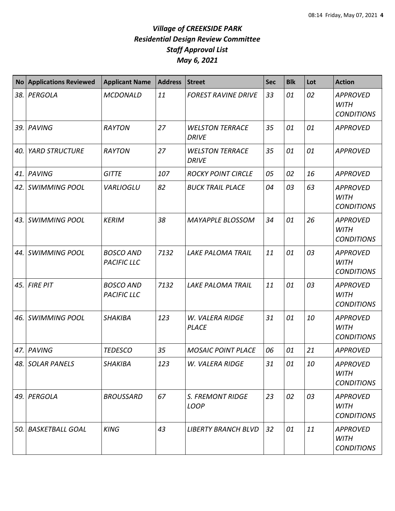| <b>No</b> | <b>Applications Reviewed</b> | <b>Applicant Name</b>                  | <b>Address</b> | <b>Street</b>                          | <b>Sec</b> | <b>Blk</b> | Lot | <b>Action</b>                                       |
|-----------|------------------------------|----------------------------------------|----------------|----------------------------------------|------------|------------|-----|-----------------------------------------------------|
| 38.       | PERGOLA                      | <b>MCDONALD</b>                        | 11             | <b>FOREST RAVINE DRIVE</b>             | 33         | 01         | 02  | <b>APPROVED</b><br><b>WITH</b><br><b>CONDITIONS</b> |
| 39.       | PAVING                       | <b>RAYTON</b>                          | 27             | <b>WELSTON TERRACE</b><br><b>DRIVE</b> | 35         | 01         | 01  | <b>APPROVED</b>                                     |
| 40.       | <b>YARD STRUCTURE</b>        | <b>RAYTON</b>                          | 27             | <b>WELSTON TERRACE</b><br><b>DRIVE</b> | 35         | 01         | 01  | <b>APPROVED</b>                                     |
| 41.       | PAVING                       | <b>GITTE</b>                           | 107            | <b>ROCKY POINT CIRCLE</b>              | 05         | 02         | 16  | <b>APPROVED</b>                                     |
| 42.       | <b>SWIMMING POOL</b>         | <b>VARLIOGLU</b>                       | 82             | <b>BUCK TRAIL PLACE</b>                | 04         | 03         | 63  | <b>APPROVED</b><br><b>WITH</b><br><b>CONDITIONS</b> |
| 43.       | <b>SWIMMING POOL</b>         | <b>KERIM</b>                           | 38             | <b>MAYAPPLE BLOSSOM</b>                | 34         | 01         | 26  | <b>APPROVED</b><br><b>WITH</b><br><b>CONDITIONS</b> |
| 44.       | <b>SWIMMING POOL</b>         | <b>BOSCO AND</b><br><b>PACIFIC LLC</b> | 7132           | <b>LAKE PALOMA TRAIL</b>               | 11         | 01         | 03  | <b>APPROVED</b><br><b>WITH</b><br><b>CONDITIONS</b> |
| 45.       | <b>FIRE PIT</b>              | <b>BOSCO AND</b><br><b>PACIFIC LLC</b> | 7132           | <b>LAKE PALOMA TRAIL</b>               | 11         | 01         | 03  | <b>APPROVED</b><br><b>WITH</b><br><b>CONDITIONS</b> |
| 46.       | <b>SWIMMING POOL</b>         | <b>SHAKIBA</b>                         | 123            | W. VALERA RIDGE<br><b>PLACE</b>        | 31         | 01         | 10  | <b>APPROVED</b><br><b>WITH</b><br><b>CONDITIONS</b> |
| 47.       | <b>PAVING</b>                | <b>TEDESCO</b>                         | 35             | <b>MOSAIC POINT PLACE</b>              | 06         | 01         | 21  | <b>APPROVED</b>                                     |
|           | 48. SOLAR PANELS             | <b>SHAKIBA</b>                         | 123            | W. VALERA RIDGE                        | 31         | 01         | 10  | <b>APPROVED</b><br><b>WITH</b><br><b>CONDITIONS</b> |
| 49.       | PERGOLA                      | <b>BROUSSARD</b>                       | 67             | <b>S. FREMONT RIDGE</b><br>LOOP        | 23         | 02         | 03  | <b>APPROVED</b><br><b>WITH</b><br><b>CONDITIONS</b> |
| 50.       | <b>BASKETBALL GOAL</b>       | <b>KING</b>                            | 43             | <b>LIBERTY BRANCH BLVD</b>             | 32         | 01         | 11  | <b>APPROVED</b><br><b>WITH</b><br><b>CONDITIONS</b> |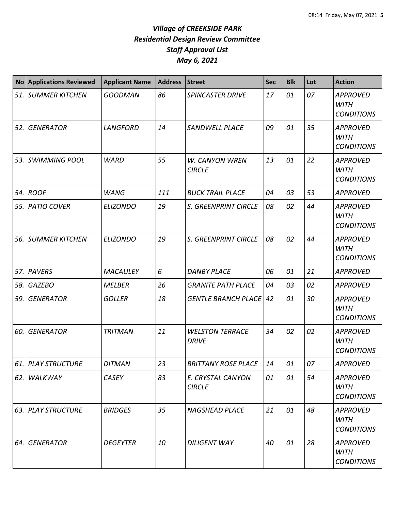| No    | <b>Applications Reviewed</b> | <b>Applicant Name</b> | <b>Address</b> | <b>Street</b>                          | Sec | <b>Blk</b> | Lot | <b>Action</b>                                       |
|-------|------------------------------|-----------------------|----------------|----------------------------------------|-----|------------|-----|-----------------------------------------------------|
|       | 51. SUMMER KITCHEN           | <b>GOODMAN</b>        | 86             | <b>SPINCASTER DRIVE</b>                | 17  | 01         | 07  | <b>APPROVED</b><br><b>WITH</b><br><b>CONDITIONS</b> |
| 52.   | <b>GENERATOR</b>             | <b>LANGFORD</b>       | 14             | SANDWELL PLACE                         | 09  | 01         | 35  | <b>APPROVED</b><br><b>WITH</b><br><b>CONDITIONS</b> |
| 53. l | <b>SWIMMING POOL</b>         | <b>WARD</b>           | 55             | <b>W. CANYON WREN</b><br><b>CIRCLE</b> | 13  | 01         | 22  | <b>APPROVED</b><br><b>WITH</b><br><b>CONDITIONS</b> |
| 54. l | <b>ROOF</b>                  | <b>WANG</b>           | 111            | <b>BUCK TRAIL PLACE</b>                | 04  | 03         | 53  | <b>APPROVED</b>                                     |
| 55. l | <b>PATIO COVER</b>           | <b>ELIZONDO</b>       | 19             | S. GREENPRINT CIRCLE                   | 08  | 02         | 44  | <b>APPROVED</b><br><b>WITH</b><br><b>CONDITIONS</b> |
| 56.   | <b>SUMMER KITCHEN</b>        | <b>ELIZONDO</b>       | 19             | S. GREENPRINT CIRCLE                   | 08  | 02         | 44  | <b>APPROVED</b><br><b>WITH</b><br><b>CONDITIONS</b> |
|       | 57. PAVERS                   | <b>MACAULEY</b>       | 6              | <b>DANBY PLACE</b>                     | 06  | 01         | 21  | <b>APPROVED</b>                                     |
| 58.   | <b>GAZEBO</b>                | <b>MELBER</b>         | 26             | <b>GRANITE PATH PLACE</b>              | 04  | 03         | 02  | <b>APPROVED</b>                                     |
| 59.   | <b>GENERATOR</b>             | <b>GOLLER</b>         | 18             | <b>GENTLE BRANCH PLACE</b>             | 42  | 01         | 30  | <b>APPROVED</b><br><b>WITH</b><br><b>CONDITIONS</b> |
| 60.   | <b>GENERATOR</b>             | <b>TRITMAN</b>        | 11             | <b>WELSTON TERRACE</b><br><b>DRIVE</b> | 34  | 02         | 02  | <b>APPROVED</b><br><b>WITH</b><br><b>CONDITIONS</b> |
|       | 61. PLAY STRUCTURE           | <b>DITMAN</b>         | 23             | <b>BRITTANY ROSE PLACE</b>             | 14  | 01         | 07  | <b>APPROVED</b>                                     |
| 62.1  | <b>WALKWAY</b>               | <b>CASEY</b>          | 83             | E. CRYSTAL CANYON<br><b>CIRCLE</b>     | 01  | 01         | 54  | <b>APPROVED</b><br><b>WITH</b><br><b>CONDITIONS</b> |
|       | 63. PLAY STRUCTURE           | <b>BRIDGES</b>        | 35             | <b>NAGSHEAD PLACE</b>                  | 21  | 01         | 48  | <b>APPROVED</b><br><b>WITH</b><br><b>CONDITIONS</b> |
| 64. I | <b>GENERATOR</b>             | <b>DEGEYTER</b>       | 10             | <b>DILIGENT WAY</b>                    | 40  | 01         | 28  | <b>APPROVED</b><br><b>WITH</b><br><b>CONDITIONS</b> |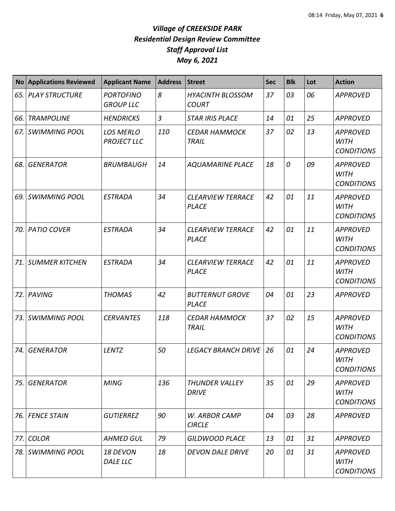| N <sub>O</sub> | <b>Applications Reviewed</b> | <b>Applicant Name</b>                  | <b>Address</b> | Street                                   | <b>Sec</b> | <b>Blk</b> | Lot | <b>Action</b>                                       |
|----------------|------------------------------|----------------------------------------|----------------|------------------------------------------|------------|------------|-----|-----------------------------------------------------|
|                | 65. PLAY STRUCTURE           | <b>PORTOFINO</b><br><b>GROUP LLC</b>   | 8              | <b>HYACINTH BLOSSOM</b><br><b>COURT</b>  | 37         | 03         | 06  | <b>APPROVED</b>                                     |
| 66.            | <b>TRAMPOLINE</b>            | <b>HENDRICKS</b>                       | $\mathfrak{Z}$ | <b>STAR IRIS PLACE</b>                   | 14         | 01         | 25  | <b>APPROVED</b>                                     |
| 67.            | <b>SWIMMING POOL</b>         | <b>LOS MERLO</b><br><b>PROJECT LLC</b> | 110            | <b>CEDAR HAMMOCK</b><br><b>TRAIL</b>     | 37         | 02         | 13  | <b>APPROVED</b><br><b>WITH</b><br><b>CONDITIONS</b> |
| 68.            | <b>GENERATOR</b>             | <b>BRUMBAUGH</b>                       | 14             | <b>AQUAMARINE PLACE</b>                  | 18         | 0          | 09  | <b>APPROVED</b><br><b>WITH</b><br><b>CONDITIONS</b> |
| 69.            | <b>SWIMMING POOL</b>         | <b>ESTRADA</b>                         | 34             | <b>CLEARVIEW TERRACE</b><br><b>PLACE</b> | 42         | 01         | 11  | <b>APPROVED</b><br><b>WITH</b><br><b>CONDITIONS</b> |
| 70.            | <b>PATIO COVER</b>           | <b>ESTRADA</b>                         | 34             | <b>CLEARVIEW TERRACE</b><br><b>PLACE</b> | 42         | 01         | 11  | <b>APPROVED</b><br><b>WITH</b><br><b>CONDITIONS</b> |
| 71.            | <b>SUMMER KITCHEN</b>        | <b>ESTRADA</b>                         | 34             | <b>CLEARVIEW TERRACE</b><br><b>PLACE</b> | 42         | 01         | 11  | <b>APPROVED</b><br><b>WITH</b><br><b>CONDITIONS</b> |
| 72.            | PAVING                       | <b>THOMAS</b>                          | 42             | <b>BUTTERNUT GROVE</b><br><b>PLACE</b>   | 04         | 01         | 23  | <b>APPROVED</b>                                     |
| 73.            | <b>SWIMMING POOL</b>         | <b>CERVANTES</b>                       | 118            | <b>CEDAR HAMMOCK</b><br><b>TRAIL</b>     | 37         | 02         | 15  | <b>APPROVED</b><br><b>WITH</b><br><b>CONDITIONS</b> |
| 74.            | <b>GENERATOR</b>             | <b>LENTZ</b>                           | 50             | <b>LEGACY BRANCH DRIVE</b>               | 26         | 01         | 24  | <b>APPROVED</b><br><b>WITH</b><br><b>CONDITIONS</b> |
| 75.            | <b>GENERATOR</b>             | <b>MING</b>                            | 136            | THUNDER VALLEY<br><b>DRIVE</b>           | 35         | 01         | 29  | <b>APPROVED</b><br><b>WITH</b><br><b>CONDITIONS</b> |
|                | 76. FENCE STAIN              | <b>GUTIERREZ</b>                       | 90             | W. ARBOR CAMP<br><b>CIRCLE</b>           | 04         | 03         | 28  | <b>APPROVED</b>                                     |
| 77.1           | <b>COLOR</b>                 | <b>AHMED GUL</b>                       | 79             | GILDWOOD PLACE                           | 13         | 01         | 31  | <b>APPROVED</b>                                     |
|                | 78. SWIMMING POOL            | 18 DEVON<br>DALE LLC                   | 18             | <b>DEVON DALE DRIVE</b>                  | 20         | 01         | 31  | <b>APPROVED</b><br>WITH<br><b>CONDITIONS</b>        |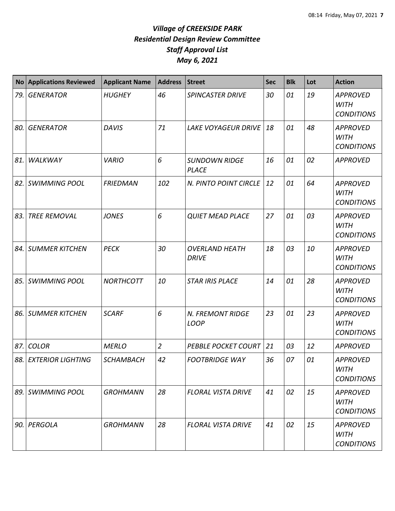| <b>No</b> | <b>Applications Reviewed</b> | <b>Applicant Name</b> | <b>Address</b> | <b>Street</b>                         | <b>Sec</b> | <b>Blk</b> | Lot | <b>Action</b>                                       |
|-----------|------------------------------|-----------------------|----------------|---------------------------------------|------------|------------|-----|-----------------------------------------------------|
| 79.       | <b>GENERATOR</b>             | <b>HUGHEY</b>         | 46             | <b>SPINCASTER DRIVE</b>               | 30         | 01         | 19  | <b>APPROVED</b><br><b>WITH</b><br><b>CONDITIONS</b> |
| 80.       | <b>GENERATOR</b>             | <b>DAVIS</b>          | 71             | <b>LAKE VOYAGEUR DRIVE</b>            | 18         | 01         | 48  | <b>APPROVED</b><br><b>WITH</b><br><b>CONDITIONS</b> |
| 81.       | WALKWAY                      | <b>VARIO</b>          | 6              | <b>SUNDOWN RIDGE</b><br><b>PLACE</b>  | 16         | 01         | 02  | <b>APPROVED</b>                                     |
| 82.       | <b>SWIMMING POOL</b>         | <b>FRIEDMAN</b>       | 102            | N. PINTO POINT CIRCLE                 | 12         | 01         | 64  | <b>APPROVED</b><br><b>WITH</b><br><b>CONDITIONS</b> |
| 83.       | <b>TREE REMOVAL</b>          | <b>JONES</b>          | 6              | <b>QUIET MEAD PLACE</b>               | 27         | 01         | 03  | <b>APPROVED</b><br><b>WITH</b><br><b>CONDITIONS</b> |
| 84.       | <b>SUMMER KITCHEN</b>        | <b>PECK</b>           | 30             | <b>OVERLAND HEATH</b><br><b>DRIVE</b> | 18         | 03         | 10  | <b>APPROVED</b><br><b>WITH</b><br><b>CONDITIONS</b> |
| 85.       | <b>SWIMMING POOL</b>         | <b>NORTHCOTT</b>      | 10             | <b>STAR IRIS PLACE</b>                | 14         | 01         | 28  | <b>APPROVED</b><br><b>WITH</b><br><b>CONDITIONS</b> |
| 86.       | <b>SUMMER KITCHEN</b>        | <b>SCARF</b>          | 6              | N. FREMONT RIDGE<br><b>LOOP</b>       | 23         | 01         | 23  | <b>APPROVED</b><br><b>WITH</b><br><b>CONDITIONS</b> |
| 87.       | <b>COLOR</b>                 | <b>MERLO</b>          | $\overline{2}$ | <b>PEBBLE POCKET COURT</b>            | 21         | 03         | 12  | <b>APPROVED</b>                                     |
|           | 88. EXTERIOR LIGHTING        | <b>SCHAMBACH</b>      | 42             | <b>FOOTBRIDGE WAY</b>                 | 36         | 07         | 01  | <b>APPROVED</b><br><b>WITH</b><br><b>CONDITIONS</b> |
| 89.       | <b>SWIMMING POOL</b>         | <b>GROHMANN</b>       | 28             | <b>FLORAL VISTA DRIVE</b>             | 41         | 02         | 15  | <b>APPROVED</b><br><b>WITH</b><br><b>CONDITIONS</b> |
| 90.       | PERGOLA                      | <b>GROHMANN</b>       | 28             | <b>FLORAL VISTA DRIVE</b>             | 41         | 02         | 15  | <b>APPROVED</b><br><b>WITH</b><br><b>CONDITIONS</b> |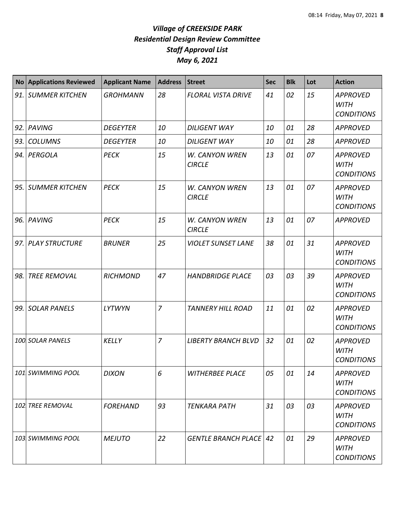| <b>No</b> | <b>Applications Reviewed</b> | <b>Applicant Name</b> | <b>Address</b> | <b>Street</b>                   | <b>Sec</b> | <b>Blk</b> | Lot | <b>Action</b>                                       |
|-----------|------------------------------|-----------------------|----------------|---------------------------------|------------|------------|-----|-----------------------------------------------------|
| 91.       | <b>SUMMER KITCHEN</b>        | <b>GROHMANN</b>       | 28             | <b>FLORAL VISTA DRIVE</b>       | 41         | 02         | 15  | <b>APPROVED</b><br><b>WITH</b><br><b>CONDITIONS</b> |
| 92.       | PAVING                       | <b>DEGEYTER</b>       | 10             | <b>DILIGENT WAY</b>             | 10         | 01         | 28  | <b>APPROVED</b>                                     |
| 93.       | <b>COLUMNS</b>               | <b>DEGEYTER</b>       | 10             | <b>DILIGENT WAY</b>             | 10         | 01         | 28  | <b>APPROVED</b>                                     |
| 94.       | PERGOLA                      | <b>PECK</b>           | 15             | W. CANYON WREN<br><b>CIRCLE</b> | 13         | 01         | 07  | <b>APPROVED</b><br><b>WITH</b><br><b>CONDITIONS</b> |
| 95.       | <b>SUMMER KITCHEN</b>        | <b>PECK</b>           | 15             | W. CANYON WREN<br><b>CIRCLE</b> | 13         | 01         | 07  | <b>APPROVED</b><br><b>WITH</b><br><b>CONDITIONS</b> |
| 96.       | PAVING                       | <b>PECK</b>           | 15             | W. CANYON WREN<br><b>CIRCLE</b> | 13         | 01         | 07  | <b>APPROVED</b>                                     |
| 97.       | <b>PLAY STRUCTURE</b>        | <b>BRUNER</b>         | 25             | <b>VIOLET SUNSET LANE</b>       | 38         | 01         | 31  | <b>APPROVED</b><br><b>WITH</b><br><b>CONDITIONS</b> |
| 98.       | <b>TREE REMOVAL</b>          | <b>RICHMOND</b>       | 47             | <b>HANDBRIDGE PLACE</b>         | 03         | 03         | 39  | <b>APPROVED</b><br><b>WITH</b><br><b>CONDITIONS</b> |
| 99.       | <b>SOLAR PANELS</b>          | <b>LYTWYN</b>         | $\overline{7}$ | <b>TANNERY HILL ROAD</b>        | 11         | 01         | 02  | <b>APPROVED</b><br><b>WITH</b><br><b>CONDITIONS</b> |
|           | 100 SOLAR PANELS             | KELLY                 | $\overline{7}$ | <b>LIBERTY BRANCH BLVD</b>      | 32         | 01         | 02  | <b>APPROVED</b><br><b>WITH</b><br><b>CONDITIONS</b> |
|           | 101 SWIMMING POOL            | <b>DIXON</b>          | 6              | <b>WITHERBEE PLACE</b>          | 05         | 01         | 14  | <b>APPROVED</b><br><b>WITH</b><br><b>CONDITIONS</b> |
|           | 102 TREE REMOVAL             | <b>FOREHAND</b>       | 93             | <b>TENKARA PATH</b>             | 31         | 03         | 03  | <b>APPROVED</b><br><b>WITH</b><br><b>CONDITIONS</b> |
|           | 103 SWIMMING POOL            | <b>MEJUTO</b>         | 22             | <b>GENTLE BRANCH PLACE   42</b> |            | 01         | 29  | <b>APPROVED</b><br><b>WITH</b><br><b>CONDITIONS</b> |